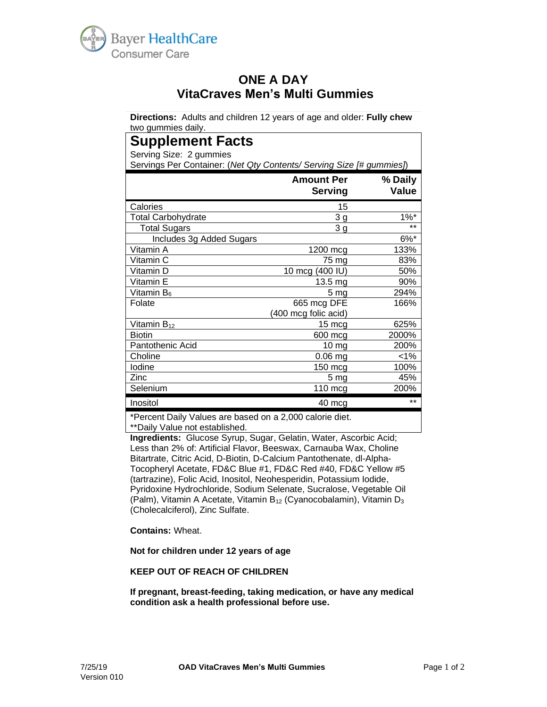

# **ONE A DAY VitaCraves Men's Multi Gummies**

**Directions:** Adults and children 12 years of age and older: **Fully chew** two gummies daily.

# **Supplement Facts**

Serving Size: 2 gummies

Servings Per Container: (*Net Qty Contents/ Serving Size [# gummies]*)

|                           | <b>Amount Per</b><br><b>Serving</b> | % Daily<br><b>Value</b> |
|---------------------------|-------------------------------------|-------------------------|
| Calories                  | 15                                  |                         |
| <b>Total Carbohydrate</b> | 3 <sub>g</sub>                      | $1\%$ *                 |
| <b>Total Sugars</b>       | 3 <sub>g</sub>                      | $***$                   |
| Includes 3g Added Sugars  |                                     | $6\%$ *                 |
| Vitamin A                 | 1200 mcg                            | 133%                    |
| Vitamin C                 | 75 mg                               | 83%                     |
| Vitamin D                 | 10 mcg (400 IU)                     | 50%                     |
| Vitamin E                 | $13.5 \text{ mg}$                   | 90%                     |
| Vitamin B <sub>6</sub>    | 5 <sub>mg</sub>                     | 294%                    |
| Folate                    | 665 mcg DFE                         | 166%                    |
|                           | (400 mcg folic acid)                |                         |
| Vitamin B <sub>12</sub>   | 15 mcg                              | 625%                    |
| <b>Biotin</b>             | 600 mcg                             | 2000%                   |
| Pantothenic Acid          | $10 \, mg$                          | 200%                    |
| Choline                   | 0.06 mg                             | $< 1\%$                 |
| lodine                    | $150$ mcg                           | 100%                    |
| Zinc                      | 5 <sub>mg</sub>                     | 45%                     |
| Selenium                  | 110 mcg                             | 200%                    |
| Inositol                  | 40 mcg                              | $***$                   |

\*Percent Daily Values are based on a 2,000 calorie diet. \*\*Daily Value not established.

**Ingredients:** Glucose Syrup, Sugar, Gelatin, Water, Ascorbic Acid; Less than 2% of: Artificial Flavor, Beeswax, Carnauba Wax, Choline Bitartrate, Citric Acid, D-Biotin, D-Calcium Pantothenate, dl-Alpha-Tocopheryl Acetate, FD&C Blue #1, FD&C Red #40, FD&C Yellow #5 (tartrazine), Folic Acid, Inositol, Neohesperidin, Potassium Iodide, Pyridoxine Hydrochloride, Sodium Selenate, Sucralose, Vegetable Oil (Palm), Vitamin A Acetate, Vitamin  $B_{12}$  (Cyanocobalamin), Vitamin  $D_3$ (Cholecalciferol), Zinc Sulfate.

**Contains:** Wheat.

#### **Not for children under 12 years of age**

#### **KEEP OUT OF REACH OF CHILDREN**

**If pregnant, breast-feeding, taking medication, or have any medical condition ask a health professional before use.**